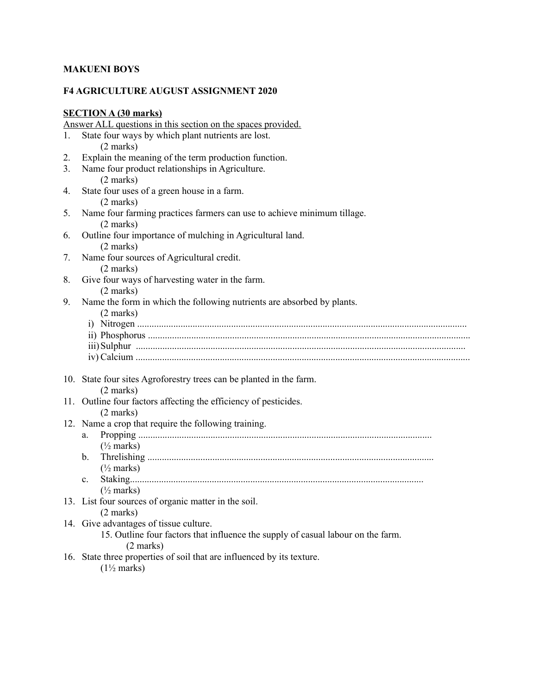## **MAKUENI BOYS**

## **F4 AGRICULTURE AUGUST ASSIGNMENT 2020**

# **SECTION A (30 marks)**

|    | Answer ALL questions in this section on the spaces provided.                                    |
|----|-------------------------------------------------------------------------------------------------|
| 1. | State four ways by which plant nutrients are lost.                                              |
|    | $(2 \text{ marks})$                                                                             |
| 2. | Explain the meaning of the term production function.                                            |
| 3. | Name four product relationships in Agriculture.                                                 |
|    | $(2 \text{ marks})$                                                                             |
| 4. | State four uses of a green house in a farm.                                                     |
|    | $(2 \text{ marks})$                                                                             |
| 5. | Name four farming practices farmers can use to achieve minimum tillage.                         |
|    | $(2 \text{ marks})$                                                                             |
| 6. | Outline four importance of mulching in Agricultural land.                                       |
|    | $(2 \text{ marks})$                                                                             |
| 7. | Name four sources of Agricultural credit.                                                       |
|    | $(2 \text{ marks})$                                                                             |
| 8. | Give four ways of harvesting water in the farm.                                                 |
|    | $(2 \text{ marks})$                                                                             |
| 9. | Name the form in which the following nutrients are absorbed by plants.                          |
|    | $(2 \text{ marks})$                                                                             |
|    |                                                                                                 |
|    |                                                                                                 |
|    |                                                                                                 |
|    |                                                                                                 |
|    | 10. State four sites Agroforestry trees can be planted in the farm.                             |
|    | $(2 \text{ marks})$                                                                             |
|    | 11. Outline four factors affecting the efficiency of pesticides.                                |
|    | $(2 \text{ marks})$                                                                             |
|    | 12. Name a crop that require the following training.                                            |
|    | a.                                                                                              |
|    | $\frac{1}{2}$ marks)                                                                            |
|    | $\mathbf{b}$ .                                                                                  |
|    | $\frac{1}{2}$ marks)                                                                            |
|    | $c_{-}$                                                                                         |
|    | $(\frac{1}{2}$ marks)                                                                           |
|    | 13. List four sources of organic matter in the soil.                                            |
|    | (2 marks)                                                                                       |
|    | 14. Give advantages of tissue culture.                                                          |
|    | 15. Outline four factors that influence the supply of casual labour on the farm.<br>$(2$ marks) |
|    | 16. State three properties of soil that are influenced by its texture.                          |
|    | $(1\frac{1}{2}$ marks)                                                                          |
|    |                                                                                                 |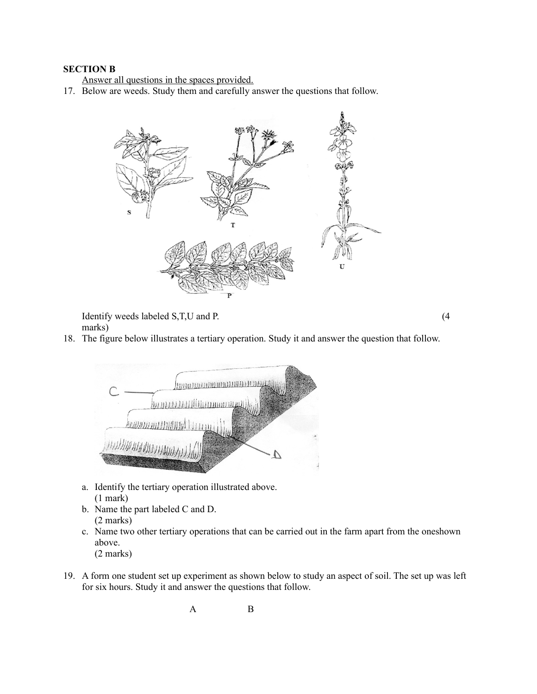#### **SECTION B**

Answer all questions in the spaces provided.

17. Below are weeds. Study them and carefully answer the questions that follow.



Identify weeds labeled S,T,U and P. (4) marks)

- 
- 18. The figure below illustrates a tertiary operation. Study it and answer the question that follow.



- a. Identify the tertiary operation illustrated above. (1 mark)
- b. Name the part labeled C and D. (2 marks)
- c. Name two other tertiary operations that can be carried out in the farm apart from the oneshown above.
	- (2 marks)
- 19. A form one student set up experiment as shown below to study an aspect of soil. The set up was left for six hours. Study it and answer the questions that follow.

A B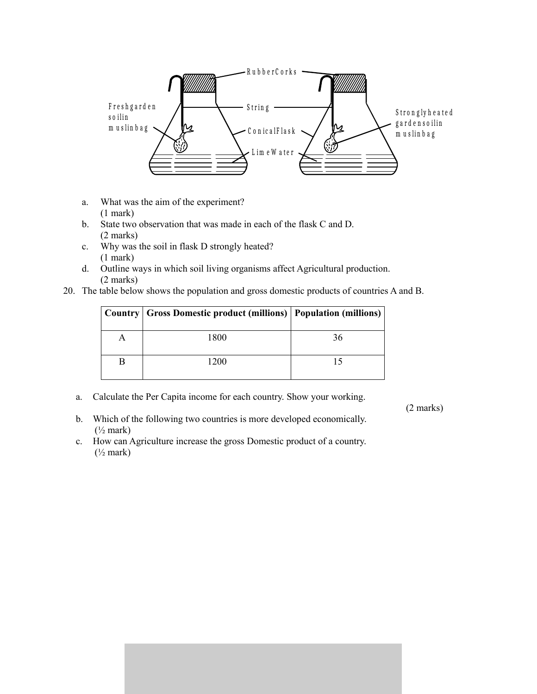

- a. What was the aim of the experiment? (1 mark)
- b. State two observation that was made in each of the flask C and D. (2 marks)
- c. Why was the soil in flask D strongly heated? (1 mark)
- d. Outline ways in which soil living organisms affect Agricultural production. (2 marks)
- 20. The table below shows the population and gross domestic products of countries A and B.

| Country   Gross Domestic product (millions)   Population (millions) |    |
|---------------------------------------------------------------------|----|
| 1800                                                                | 36 |
| 1200                                                                |    |

a. Calculate the Per Capita income for each country. Show your working.

(2 marks)

- b. Which of the following two countries is more developed economically.  $(\frac{1}{2}$  mark)
- c. How can Agriculture increase the gross Domestic product of a country.  $(\frac{1}{2}$  mark)